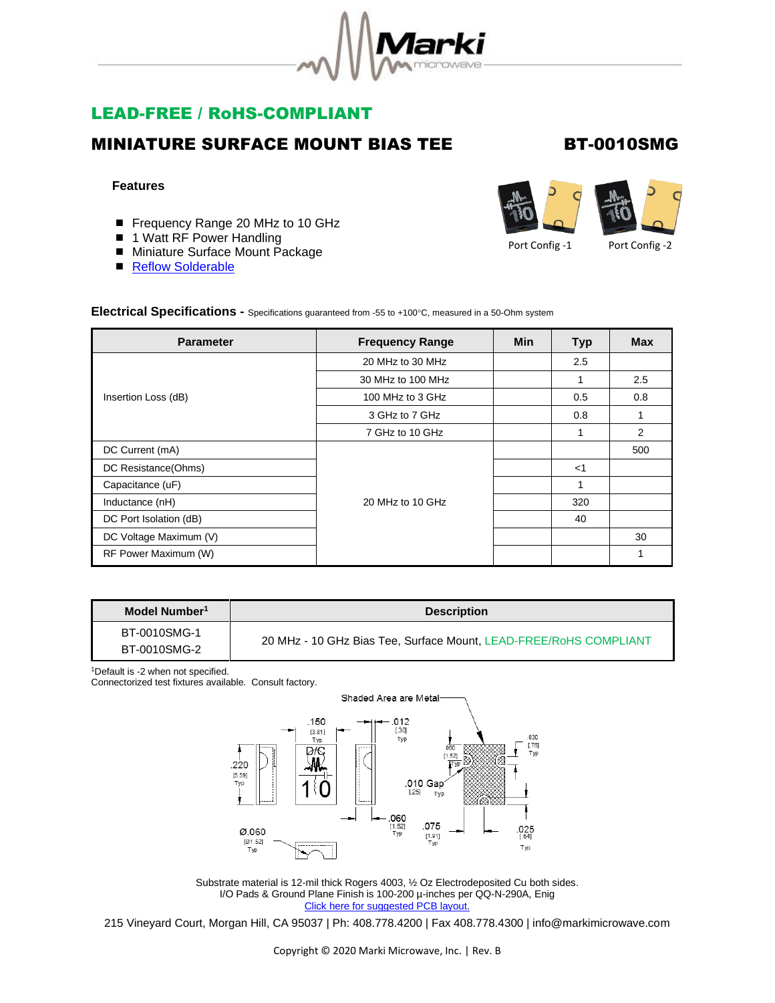

# LEAD-FREE / RoHS-COMPLIANT

### MINIATURE SURFACE MOUNT BIAS TEE BT-0010SMG

#### **Features**

- Frequency Range 20 MHz to 10 GHz
- 1 Watt RF Power Handling
- Miniature Surface Mount Package
- [Reflow Solderable](http://www.markimicrowave.com/menus/appnotes/REFLOW.pdf)



Port Config -1 Port Config -2

Electrical Specifications - Specifications guaranteed from -55 to +100°C, measured in a 50-Ohm system

| <b>Parameter</b>       | <b>Frequency Range</b> | <b>Min</b> | <b>Typ</b> | <b>Max</b> |
|------------------------|------------------------|------------|------------|------------|
| Insertion Loss (dB)    | 20 MHz to 30 MHz       |            | 2.5        |            |
|                        | 30 MHz to 100 MHz      |            |            | 2.5        |
|                        | 100 MHz to 3 GHz       |            | 0.5        | 0.8        |
|                        | 3 GHz to 7 GHz         |            | 0.8        |            |
|                        | 7 GHz to 10 GHz        |            |            | 2          |
| DC Current (mA)        | 20 MHz to 10 GHz       |            |            | 500        |
| DC Resistance(Ohms)    |                        |            | $<$ 1      |            |
| Capacitance (uF)       |                        |            |            |            |
| Inductance (nH)        |                        |            | 320        |            |
| DC Port Isolation (dB) |                        |            | 40         |            |
| DC Voltage Maximum (V) |                        |            |            | 30         |
| RF Power Maximum (W)   |                        |            |            |            |

| Model Number <sup>1</sup>    | <b>Description</b>                                                |  |
|------------------------------|-------------------------------------------------------------------|--|
| BT-0010SMG-1<br>BT-0010SMG-2 | 20 MHz - 10 GHz Bias Tee, Surface Mount, LEAD-FREE/RoHS COMPLIANT |  |

<sup>1</sup>Default is -2 when not specified.

Connectorized test fixtures available. Consult factory.



Substrate material is 12-mil thick Rogers 4003, ½ Oz Electrodeposited Cu both sides. I/O Pads & Ground Plane Finish is 100-200 µ-inches per QQ-N-290A, Enig [Click here for suggested PCB layout.](https://www.markimicrowave.com/Assets/data/BTSM_PCB_FOOTPRINT.zip)

215 Vineyard Court, Morgan Hill, CA 95037 | Ph: 408.778.4200 | Fax 408.778.4300 | info@markimicrowave.com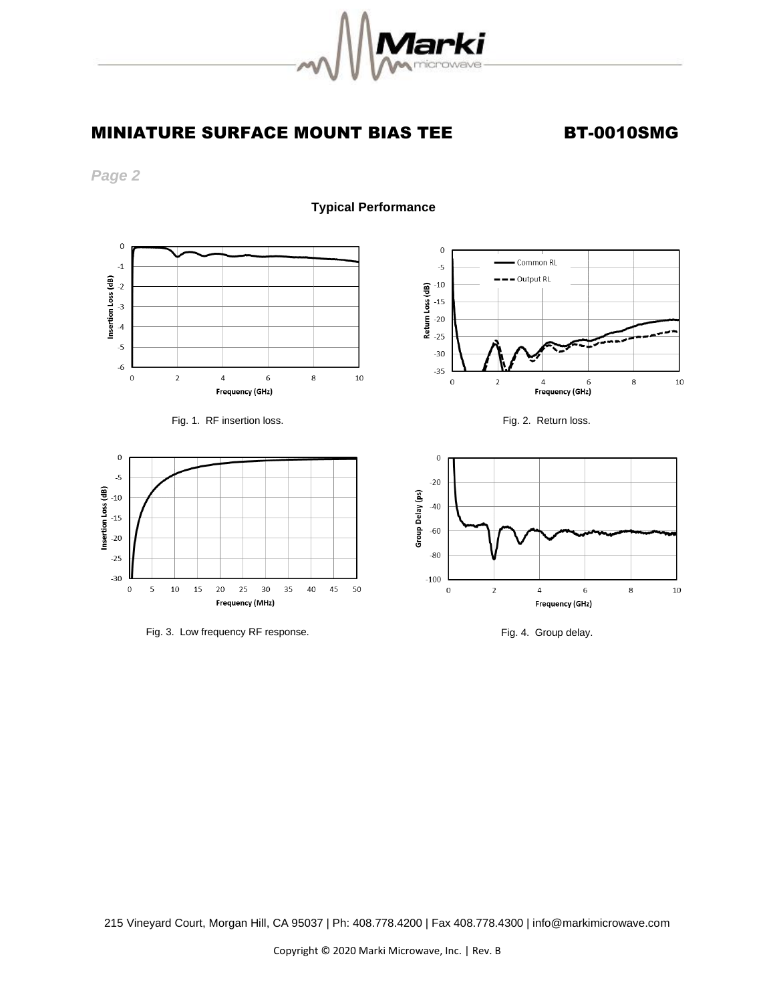

## MINIATURE SURFACE MOUNT BIAS TEE BT-0010SMG

*Page 2* 

 **Typical Performance**







Fig. 3. Low frequency RF response. The state of the state of the Fig. 4. Group delay.





215 Vineyard Court, Morgan Hill, CA 95037 | Ph: 408.778.4200 | Fax 408.778.4300 | info@markimicrowave.com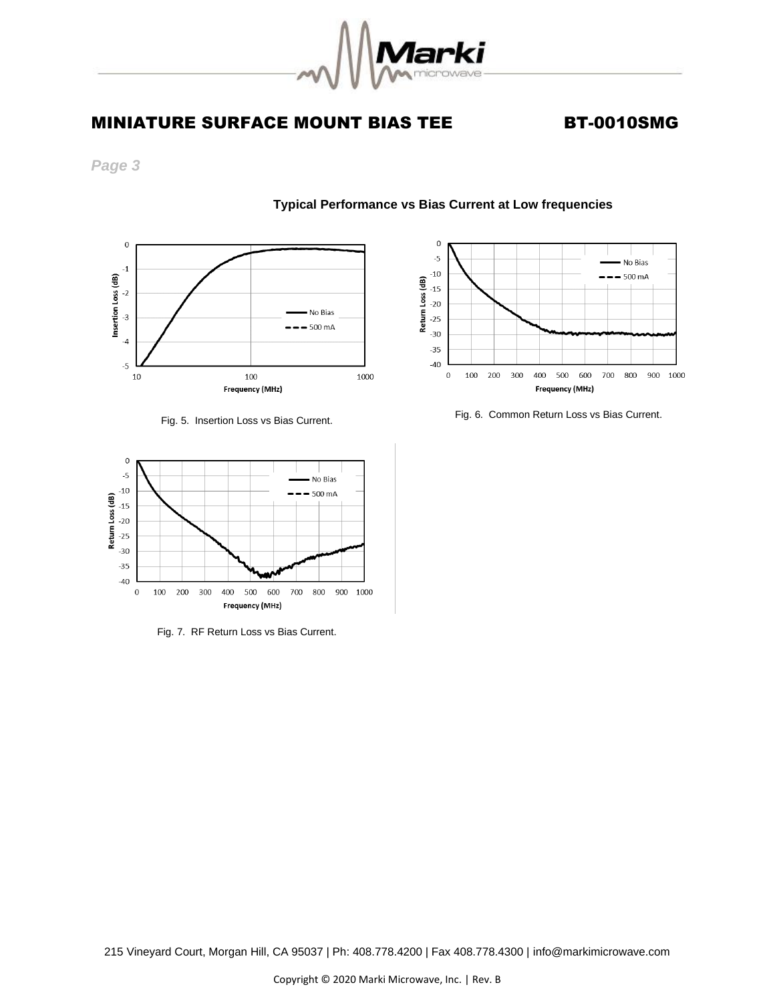

**Typical Performance vs Bias Current at Low frequencies** 

# MINIATURE SURFACE MOUNT BIAS TEE BT-0010SMG

*Page 3*



#### Fig. 5. Insertion Loss vs Bias Current.



Fig. 7. RF Return Loss vs Bias Current.



Fig. 6. Common Return Loss vs Bias Current.